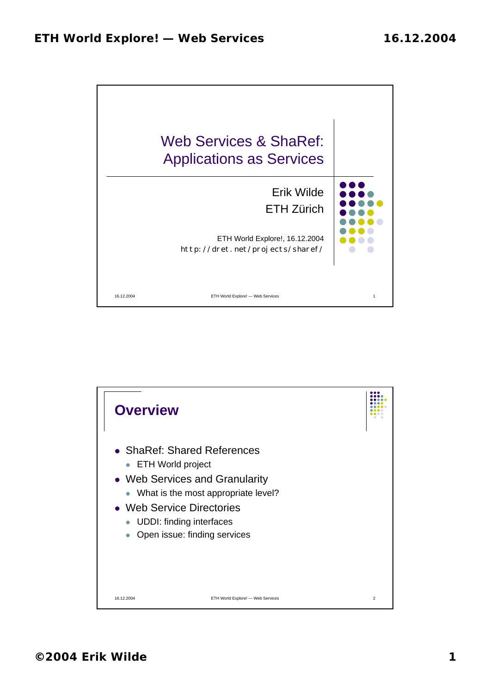

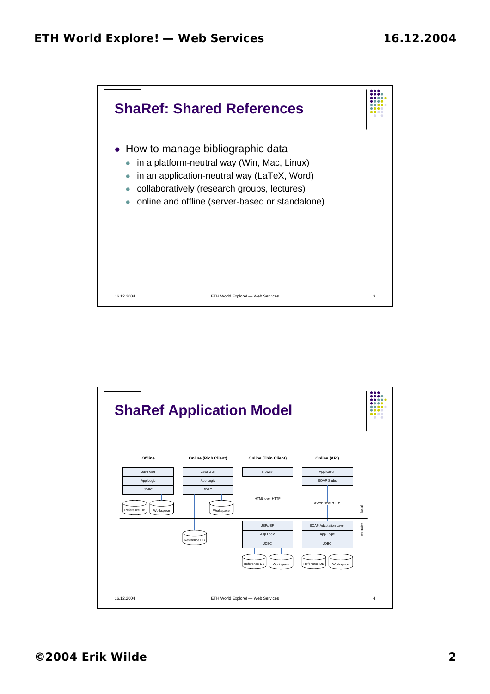

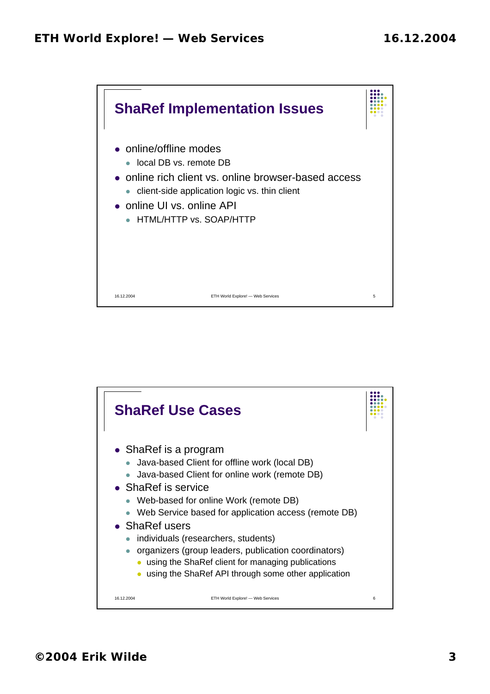

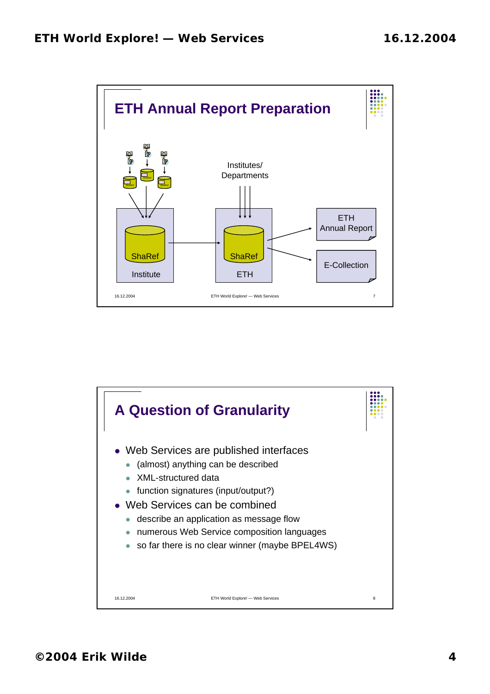

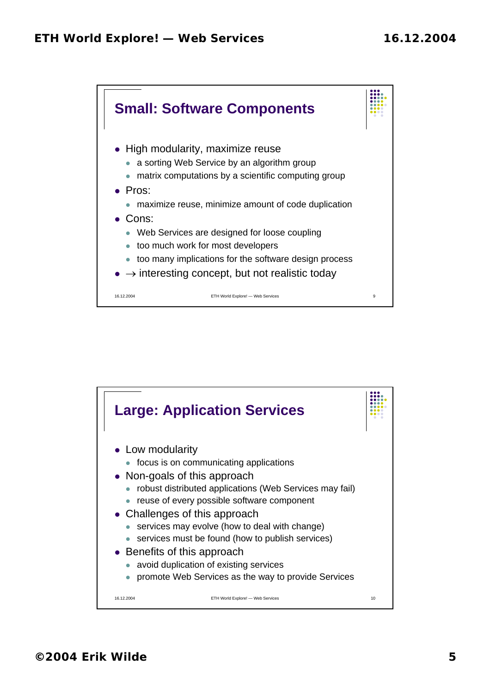

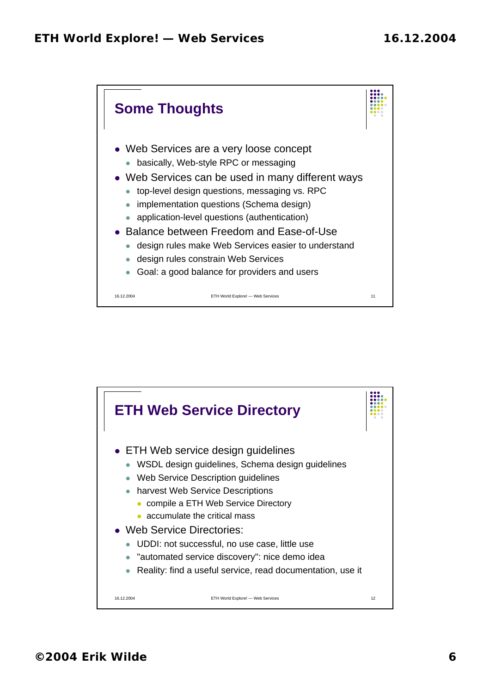